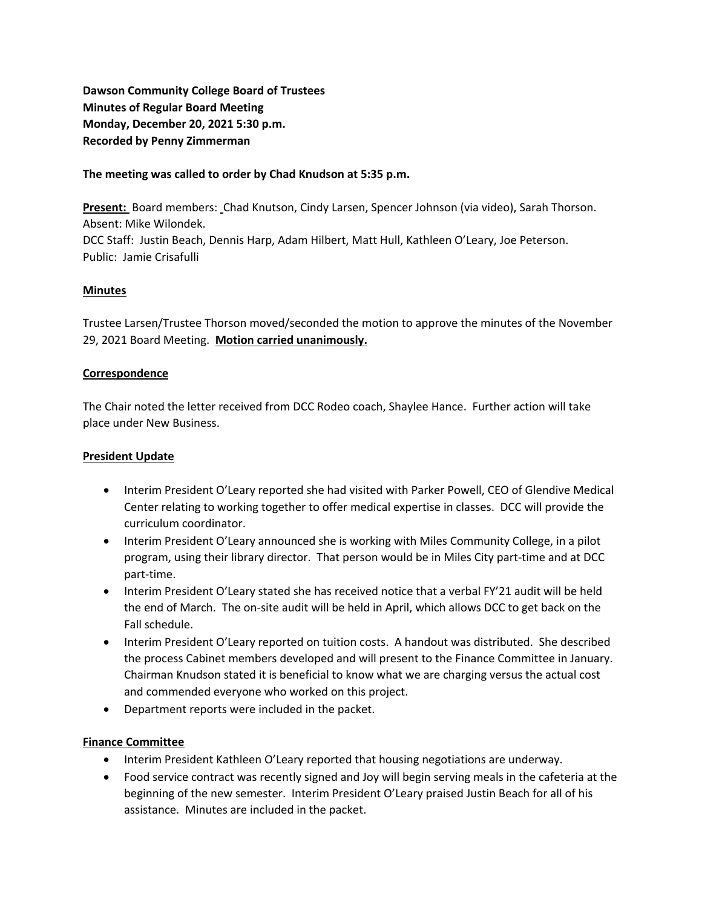**Dawson Community College Board of Trustees Minutes of Regular Board Meeting Monday, December 20, 2021 5:30 p.m. Recorded by Penny Zimmerman**

## **The meeting was called to order by Chad Knudson at 5:35 p.m.**

**Present:** Board members: Chad Knutson, Cindy Larsen, Spencer Johnson (via video), Sarah Thorson. Absent: Mike Wilondek. DCC Staff: Justin Beach, Dennis Harp, Adam Hilbert, Matt Hull, Kathleen O'Leary, Joe Peterson. Public: Jamie Crisafulli

# **Minutes**

Trustee Larsen/Trustee Thorson moved/seconded the motion to approve the minutes of the November 29, 2021 Board Meeting. **Motion carried unanimously.**

## **Correspondence**

The Chair noted the letter received from DCC Rodeo coach, Shaylee Hance. Further action will take place under New Business.

## **President Update**

- Interim President O'Leary reported she had visited with Parker Powell, CEO of Glendive Medical Center relating to working together to offer medical expertise in classes. DCC will provide the curriculum coordinator.
- Interim President O'Leary announced she is working with Miles Community College, in a pilot program, using their library director. That person would be in Miles City part-time and at DCC part-time.
- Interim President O'Leary stated she has received notice that a verbal FY'21 audit will be held the end of March. The on-site audit will be held in April, which allows DCC to get back on the Fall schedule.
- Interim President O'Leary reported on tuition costs. A handout was distributed. She described the process Cabinet members developed and will present to the Finance Committee in January. Chairman Knudson stated it is beneficial to know what we are charging versus the actual cost and commended everyone who worked on this project.
- Department reports were included in the packet.

## **Finance Committee**

- Interim President Kathleen O'Leary reported that housing negotiations are underway.
- Food service contract was recently signed and Joy will begin serving meals in the cafeteria at the beginning of the new semester. Interim President O'Leary praised Justin Beach for all of his assistance. Minutes are included in the packet.